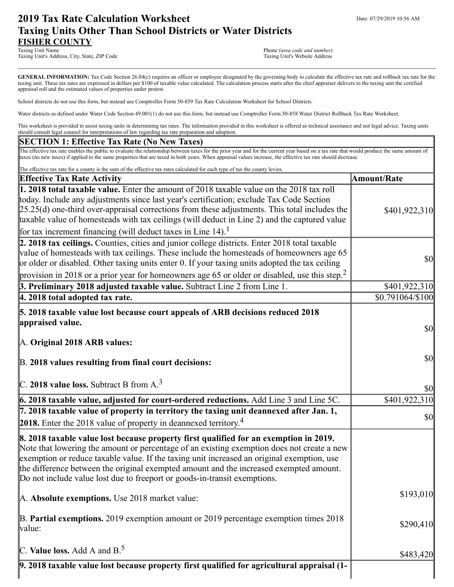# **2019 Tax Rate Calculation Worksheet** Department Date: 07/29/2019 10:56 AM **Taxing Units Other Than School Districts or Water Districts FISHER COUNTY**

Taxing Unit's Address, City, State, ZIP Code

Phone (area code and number)<br>Taxing Unit's Website Address

GENERAL INFORMATION: Tax Code Section 26.04(c) requires an officer or employee designated by the governing body to calculate the effective tax rate and rollback tax rate for the taxing unit. These tax rates are expressed in dollars per \$100 of taxable value calculated. The calculation process starts after the chief appraiser delivers to the taxing unit the certified appraisal roll and the estimated values of properties under protest.

School districts do not use this form, but instead use Comptroller Form 50-859 Tax Rate Calculation Worksheet for School Districts.

Water districts as defined under Water Code Section 49.001(1) do not use this form, but instead use Comptroller Form 50-858 Water District Rollback Tax Rate Worksheet.

This worksheet is provided to assist taxing units in determining tax rates. The information provided in this worksheet is offered as technical assistance and not legal advice. Taxing units should consult legal counsel for interpretations of law regarding tax rate preparation and adoption.

### **SECTION 1: Effective Tax Rate (No New Taxes)**

The effective tax rate enables the public to evaluate the relationship between taxes for the prior year and for the current year based on a tax rate that would produce the same amount of taxes (no new taxes) if applied to the same properties that are taxed in both years. When appraisal values increase, the effective tax rate should decrease.

| The effective tax rate for a county is the sum of the effective tax rates calculated for each type of tax the county levies.                                                                                                                                                                                                                                                                                                                                         |                                                                            |
|----------------------------------------------------------------------------------------------------------------------------------------------------------------------------------------------------------------------------------------------------------------------------------------------------------------------------------------------------------------------------------------------------------------------------------------------------------------------|----------------------------------------------------------------------------|
| <b>Effective Tax Rate Activity</b>                                                                                                                                                                                                                                                                                                                                                                                                                                   | <b>Amount/Rate</b>                                                         |
| 1. 2018 total taxable value. Enter the amount of 2018 taxable value on the 2018 tax roll<br>today. Include any adjustments since last year's certification; exclude Tax Code Section<br>$[25.25(d)$ one-third over-appraisal corrections from these adjustments. This total includes the<br>taxable value of homesteads with tax ceilings (will deduct in Line 2) and the captured value<br>for tax increment financing (will deduct taxes in Line 14). <sup>1</sup> | \$401,922,310                                                              |
| 2. 2018 tax ceilings. Counties, cities and junior college districts. Enter 2018 total taxable<br>value of homesteads with tax ceilings. These include the homesteads of homeowners age 65<br>or older or disabled. Other taxing units enter 0. If your taxing units adopted the tax ceiling<br>provision in 2018 or a prior year for homeowners age 65 or older or disabled, use this step. <sup>2</sup>                                                             | $\sqrt{50}$                                                                |
| 3. Preliminary 2018 adjusted taxable value. Subtract Line 2 from Line 1.                                                                                                                                                                                                                                                                                                                                                                                             | \$401,922,310                                                              |
| 4. 2018 total adopted tax rate.                                                                                                                                                                                                                                                                                                                                                                                                                                      | \$0.791064/\$100                                                           |
| <b>5. 2018 taxable value lost because court appeals of ARB decisions reduced 2018</b><br>appraised value.<br>A. Original 2018 ARB values:                                                                                                                                                                                                                                                                                                                            | $\vert \mathbf{S} \mathbf{0} \vert$<br>$\vert \mathbf{S} \mathbf{0} \vert$ |
| B. 2018 values resulting from final court decisions:<br>C. 2018 value loss. Subtract B from $A3$                                                                                                                                                                                                                                                                                                                                                                     | \$0                                                                        |
| $6.2018$ taxable value, adjusted for court-ordered reductions. Add Line $3$ and Line $5C$ .                                                                                                                                                                                                                                                                                                                                                                          | \$401,922,310                                                              |
| 7. 2018 taxable value of property in territory the taxing unit deannexed after Jan. 1,<br><b>2018.</b> Enter the 2018 value of property in deannexed territory. <sup>4</sup>                                                                                                                                                                                                                                                                                         | <b>\$0</b>                                                                 |
| 8. 2018 taxable value lost because property first qualified for an exemption in 2019.<br>Note that lowering the amount or percentage of an existing exemption does not create a new<br>exemption or reduce taxable value. If the taxing unit increased an original exemption, use<br>the difference between the original exempted amount and the increased exempted amount.<br>Do not include value lost due to freeport or goods-in-transit exemptions.             |                                                                            |
| A. Absolute exemptions. Use 2018 market value:                                                                                                                                                                                                                                                                                                                                                                                                                       | \$193,010                                                                  |
| $\vert$ B. Partial exemptions. 2019 exemption amount or 2019 percentage exemption times 2018<br>value:                                                                                                                                                                                                                                                                                                                                                               | \$290,410                                                                  |
| C. Value loss. Add A and $B^5$ .                                                                                                                                                                                                                                                                                                                                                                                                                                     | \$483,420                                                                  |
| 9. 2018 taxable value lost because property first qualified for agricultural appraisal (1-                                                                                                                                                                                                                                                                                                                                                                           |                                                                            |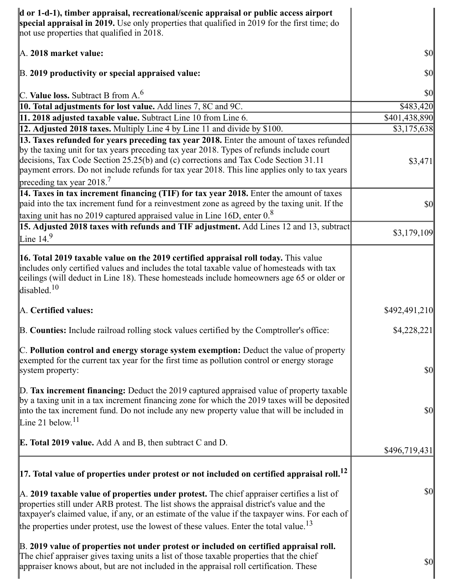| $\bf{d}$ or 1-d-1), timber appraisal, recreational/scenic appraisal or public access airport<br>special appraisal in 2019. Use only properties that qualified in 2019 for the first time; do<br>not use properties that qualified in 2018.                                                                                                                                                                  |                                     |
|-------------------------------------------------------------------------------------------------------------------------------------------------------------------------------------------------------------------------------------------------------------------------------------------------------------------------------------------------------------------------------------------------------------|-------------------------------------|
| A. 2018 market value:                                                                                                                                                                                                                                                                                                                                                                                       | \$0                                 |
| B. 2019 productivity or special appraised value:                                                                                                                                                                                                                                                                                                                                                            | <b>\$0</b>                          |
| C. Value loss. Subtract B from $A6$                                                                                                                                                                                                                                                                                                                                                                         | $ 10\rangle$                        |
| 10. Total adjustments for lost value. Add lines 7, 8C and 9C.                                                                                                                                                                                                                                                                                                                                               | \$483,420                           |
| 11. 2018 adjusted taxable value. Subtract Line 10 from Line 6.                                                                                                                                                                                                                                                                                                                                              | \$401,438,890                       |
| <b>12. Adjusted 2018 taxes.</b> Multiply Line 4 by Line 11 and divide by \$100.                                                                                                                                                                                                                                                                                                                             | \$3,175,638                         |
| 13. Taxes refunded for years preceding tax year 2018. Enter the amount of taxes refunded<br>by the taxing unit for tax years preceding tax year 2018. Types of refunds include court<br>decisions, Tax Code Section 25.25(b) and (c) corrections and Tax Code Section 31.11<br>payment errors. Do not include refunds for tax year 2018. This line applies only to tax years<br>preceding tax year $2018.7$ | \$3,471                             |
| 14. Taxes in tax increment financing (TIF) for tax year 2018. Enter the amount of taxes<br>paid into the tax increment fund for a reinvestment zone as agreed by the taxing unit. If the<br>taxing unit has no 2019 captured appraised value in Line 16D, enter $0.8$                                                                                                                                       | \$0                                 |
| 15. Adjusted 2018 taxes with refunds and TIF adjustment. Add Lines 12 and 13, subtract<br>Line $14.9$                                                                                                                                                                                                                                                                                                       | \$3,179,109                         |
| <b>16. Total 2019 taxable value on the 2019 certified appraisal roll today.</b> This value<br>includes only certified values and includes the total taxable value of homesteads with tax<br>ceilings (will deduct in Line 18). These homesteads include homeowners age 65 or older or<br>disabled. $10$                                                                                                     |                                     |
| A. Certified values:                                                                                                                                                                                                                                                                                                                                                                                        | \$492,491,210                       |
| B. Counties: Include railroad rolling stock values certified by the Comptroller's office:                                                                                                                                                                                                                                                                                                                   | \$4,228,221                         |
| C. Pollution control and energy storage system exemption: Deduct the value of property<br>exempted for the current tax year for the first time as pollution control or energy storage<br>system property:                                                                                                                                                                                                   | $\vert \mathbf{S} \mathbf{0} \vert$ |
| $\mathbb{D}$ . Tax increment financing: Deduct the 2019 captured appraised value of property taxable<br>by a taxing unit in a tax increment financing zone for which the 2019 taxes will be deposited<br>into the tax increment fund. Do not include any new property value that will be included in<br>Line 21 below. $11$                                                                                 | $\vert \mathbf{S} \mathbf{0} \vert$ |
| <b>E. Total 2019 value.</b> Add A and B, then subtract C and D.                                                                                                                                                                                                                                                                                                                                             | \$496,719,431                       |
| $\vert$ 17. Total value of properties under protest or not included on certified appraisal roll. $^{12}$                                                                                                                                                                                                                                                                                                    |                                     |
| A. 2019 taxable value of properties under protest. The chief appraiser certifies a list of<br>properties still under ARB protest. The list shows the appraisal district's value and the<br>taxpayer's claimed value, if any, or an estimate of the value if the taxpayer wins. For each of<br>the properties under protest, use the lowest of these values. Enter the total value. <sup>13</sup>            | $\vert \mathbf{S} \mathbf{O} \vert$ |
|                                                                                                                                                                                                                                                                                                                                                                                                             |                                     |
| B. 2019 value of properties not under protest or included on certified appraisal roll.<br>The chief appraiser gives taxing units a list of those taxable properties that the chief<br>appraiser knows about, but are not included in the appraisal roll certification. These                                                                                                                                | \$0                                 |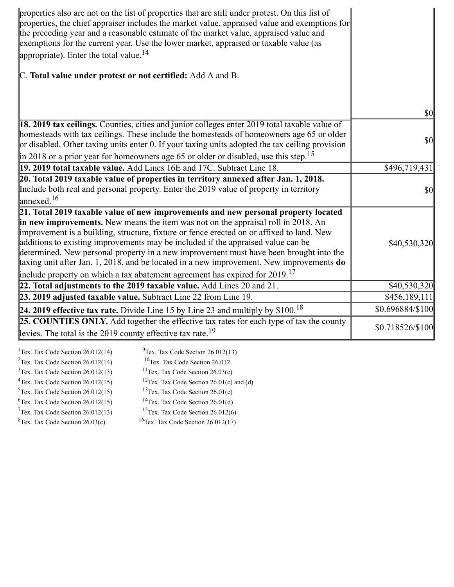| properties also are not on the list of properties that are still under protest. On this list of<br>properties, the chief appraiser includes the market value, appraised value and exemptions for<br>the preceding year and a reasonable estimate of the market value, appraised value and<br>exemptions for the current year. Use the lower market, appraised or taxable value (as<br>appropriate). Enter the total value. $^{14}$                                                                                                                                                                                                           |                  |
|----------------------------------------------------------------------------------------------------------------------------------------------------------------------------------------------------------------------------------------------------------------------------------------------------------------------------------------------------------------------------------------------------------------------------------------------------------------------------------------------------------------------------------------------------------------------------------------------------------------------------------------------|------------------|
| C. Total value under protest or not certified: Add A and B.                                                                                                                                                                                                                                                                                                                                                                                                                                                                                                                                                                                  |                  |
|                                                                                                                                                                                                                                                                                                                                                                                                                                                                                                                                                                                                                                              | \$0              |
| 18. 2019 tax ceilings. Counties, cities and junior colleges enter 2019 total taxable value of<br>homesteads with tax ceilings. These include the homesteads of homeowners age 65 or older<br>or disabled. Other taxing units enter 0. If your taxing units adopted the tax ceiling provision                                                                                                                                                                                                                                                                                                                                                 | $\sqrt{50}$      |
| $\left  \text{in } 2018 \text{ or a prior year for home owners age 65 or older or disabled, use this step.} \right $<br>19. 2019 total taxable value. Add Lines 16E and 17C. Subtract Line 18.                                                                                                                                                                                                                                                                                                                                                                                                                                               | \$496,719,431    |
| 20. Total 2019 taxable value of properties in territory annexed after Jan. 1, 2018.                                                                                                                                                                                                                                                                                                                                                                                                                                                                                                                                                          |                  |
| Include both real and personal property. Enter the 2019 value of property in territory<br>$\int$ annexed. <sup>16</sup>                                                                                                                                                                                                                                                                                                                                                                                                                                                                                                                      | <b>\$0</b>       |
| 21. Total 2019 taxable value of new improvements and new personal property located<br>in new improvements. New means the item was not on the appraisal roll in 2018. An<br>improvement is a building, structure, fixture or fence erected on or affixed to land. New<br>additions to existing improvements may be included if the appraised value can be<br>determined. New personal property in a new improvement must have been brought into the<br>taxing unit after Jan. 1, 2018, and be located in a new improvement. New improvements do<br>include property on which a tax abatement agreement has expired for $2019$ . <sup>17</sup> | \$40,530,320     |
| 22. Total adjustments to the 2019 taxable value. Add Lines $20$ and $21$ .                                                                                                                                                                                                                                                                                                                                                                                                                                                                                                                                                                   | \$40,530,320     |
| 23. 2019 adjusted taxable value. Subtract Line 22 from Line 19.                                                                                                                                                                                                                                                                                                                                                                                                                                                                                                                                                                              | \$456,189,111    |
| 24. 2019 effective tax rate. Divide Line 15 by Line 23 and multiply by \$100. <sup>18</sup>                                                                                                                                                                                                                                                                                                                                                                                                                                                                                                                                                  | \$0.696884/\$100 |
| 25. COUNTIES ONLY. Add together the effective tax rates for each type of tax the county<br>levies. The total is the 2019 county effective tax rate. <sup>19</sup>                                                                                                                                                                                                                                                                                                                                                                                                                                                                            | \$0.718526/\$100 |

| <sup>1</sup> Tex. Tax Code Section $26.012(14)$ | $^{9}$ Tex. Tax Code Section 26.012(13)              |
|-------------------------------------------------|------------------------------------------------------|
| $2$ Tex. Tax Code Section 26.012(14)            | $10$ Tex. Tax Code Section 26.012                    |
| $3$ Tex. Tax Code Section 26.012(13)            | <sup>11</sup> Tex. Tax Code Section $26.03(c)$       |
| $4$ Tex. Tax Code Section 26.012(15)            | <sup>12</sup> Tex. Tax Code Section 26.01(c) and (d) |
| $5$ Tex. Tax Code Section 26.012(15)            | <sup>13</sup> Tex. Tax Code Section $26.01(c)$       |
| ${}^{6}$ Tex. Tax Code Section 26.012(15)       | <sup>14</sup> Tex. Tax Code Section $26.01(d)$       |
| $7$ Tex. Tax Code Section 26.012(13)            | <sup>15</sup> Tex. Tax Code Section $26.012(6)$      |
| ${}^{8}$ Tex. Tax Code Section 26.03(c)         | <sup>16</sup> Tex. Tax Code Section $26.012(17)$     |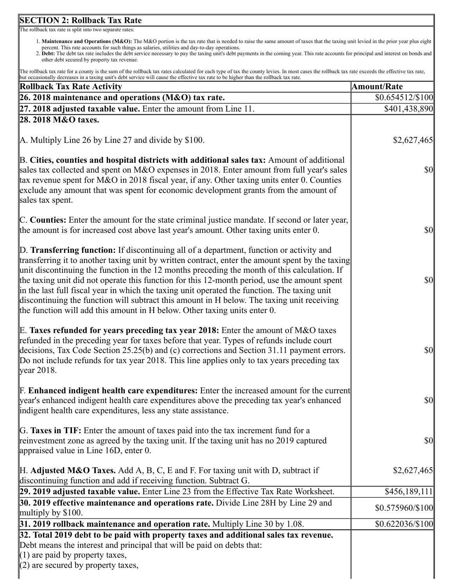# **SECTION 2: Rollback Tax Rate**

The rollback tax rate is split into two separate rates:

- 1. **Maintenance and Operations (M&O):** The M&O portion is the tax rate that is needed to raise the same amount of taxes that the taxing unit levied in the prior year plus eight percent. This rate accounts for such things as salaries, utilities and day-to-day operations.
- 2. **Debt:** The debt tax rate includes the debt service necessary to pay the taxing unit's debt payments in the coming year. This rate accounts for principal and interest on bonds and other debt secured by property tax revenue.

The rollback tax rate for a county is the sum of the rollback tax rates calculated for each type of tax the county levies. In most cases the rollback tax rate exceeds the effective tax rate, but occasionally decreases in a taxing unit's debt service will cause the effective tax rate to be higher than the rollback tax rate.

| a occasionary accreases in a taxing ann s acor service win cause are errective tax rate to be inglier than the romack tax rat<br><b>Rollback Tax Rate Activity</b>                                                                                                                                                                                                                                                                                                                                                                                                                                                                                                           | <b>Amount/Rate</b>                  |
|------------------------------------------------------------------------------------------------------------------------------------------------------------------------------------------------------------------------------------------------------------------------------------------------------------------------------------------------------------------------------------------------------------------------------------------------------------------------------------------------------------------------------------------------------------------------------------------------------------------------------------------------------------------------------|-------------------------------------|
| 26. 2018 maintenance and operations (M&O) tax rate.                                                                                                                                                                                                                                                                                                                                                                                                                                                                                                                                                                                                                          | $$0.654512\%100$                    |
| $27.2018$ adjusted taxable value. Enter the amount from Line 11.                                                                                                                                                                                                                                                                                                                                                                                                                                                                                                                                                                                                             | \$401,438,890                       |
| 28. 2018 M&O taxes.                                                                                                                                                                                                                                                                                                                                                                                                                                                                                                                                                                                                                                                          |                                     |
| $\mathbb A$ . Multiply Line 26 by Line 27 and divide by \$100.                                                                                                                                                                                                                                                                                                                                                                                                                                                                                                                                                                                                               | \$2,627,465                         |
| B. Cities, counties and hospital districts with additional sales tax: Amount of additional<br>sales tax collected and spent on M&O expenses in 2018. Enter amount from full year's sales<br>tax revenue spent for M&O in 2018 fiscal year, if any. Other taxing units enter 0. Counties<br>exclude any amount that was spent for economic development grants from the amount of<br>sales tax spent.                                                                                                                                                                                                                                                                          | $\frac{1}{2}$                       |
| C. Counties: Enter the amount for the state criminal justice mandate. If second or later year,<br>the amount is for increased cost above last year's amount. Other taxing units enter 0.                                                                                                                                                                                                                                                                                                                                                                                                                                                                                     | $\vert \mathbf{S} \mathbf{0} \vert$ |
| D. Transferring function: If discontinuing all of a department, function or activity and<br>transferring it to another taxing unit by written contract, enter the amount spent by the taxing<br>unit discontinuing the function in the 12 months preceding the month of this calculation. If<br>the taxing unit did not operate this function for this 12-month period, use the amount spent<br>in the last full fiscal year in which the taxing unit operated the function. The taxing unit<br>discontinuing the function will subtract this amount in H below. The taxing unit receiving<br>the function will add this amount in $H$ below. Other taxing units enter $0$ . | $\vert \mathbf{S} \mathbf{O} \vert$ |
| E. Taxes refunded for years preceding tax year 2018: Enter the amount of M&O taxes<br>refunded in the preceding year for taxes before that year. Types of refunds include court<br>decisions, Tax Code Section 25.25(b) and (c) corrections and Section 31.11 payment errors.<br>Do not include refunds for tax year 2018. This line applies only to tax years preceding tax<br>$\sqrt{\frac{1}{2}}$ vear 2018.                                                                                                                                                                                                                                                              | $ 10\rangle$                        |
| F. Enhanced indigent health care expenditures: Enter the increased amount for the current<br>year's enhanced indigent health care expenditures above the preceding tax year's enhanced<br>indigent health care expenditures, less any state assistance.                                                                                                                                                                                                                                                                                                                                                                                                                      | $\vert \mathbf{S} \mathbf{0} \vert$ |
| G. Taxes in TIF: Enter the amount of taxes paid into the tax increment fund for a<br>reinvestment zone as agreed by the taxing unit. If the taxing unit has no 2019 captured<br>appraised value in Line $16D$ , enter 0.                                                                                                                                                                                                                                                                                                                                                                                                                                                     | \$0                                 |
| $H.$ Adjusted M&O Taxes. Add A, B, C, E and F. For taxing unit with D, subtract if<br>discontinuing function and add if receiving function. Subtract G.                                                                                                                                                                                                                                                                                                                                                                                                                                                                                                                      | \$2,627,465                         |
| 29. 2019 adjusted taxable value. Enter Line 23 from the Effective Tax Rate Worksheet.                                                                                                                                                                                                                                                                                                                                                                                                                                                                                                                                                                                        | \$456,189,111                       |
| 30. 2019 effective maintenance and operations rate. Divide Line 28H by Line 29 and<br>multiply by $$100$ .                                                                                                                                                                                                                                                                                                                                                                                                                                                                                                                                                                   | \$0.575960/\$100                    |
| $31.2019$ rollback maintenance and operation rate. Multiply Line 30 by 1.08.                                                                                                                                                                                                                                                                                                                                                                                                                                                                                                                                                                                                 | $$0.622036/\$100$                   |
| 32. Total 2019 debt to be paid with property taxes and additional sales tax revenue.<br>Debt means the interest and principal that will be paid on debts that:<br>$(1)$ are paid by property taxes,<br>$(2)$ are secured by property taxes,                                                                                                                                                                                                                                                                                                                                                                                                                                  |                                     |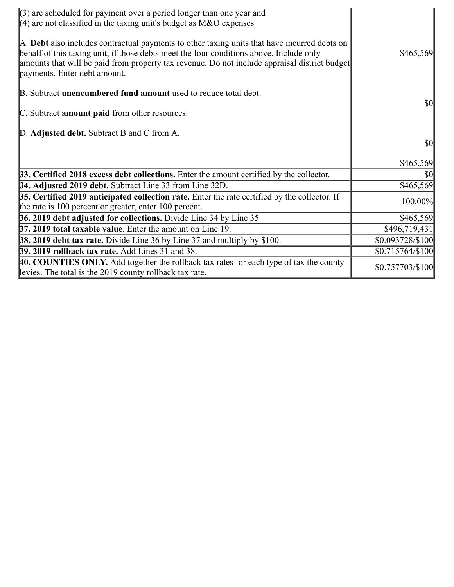| $\langle 3 \rangle$ are scheduled for payment over a period longer than one year and<br>$\parallel$ (4) are not classified in the taxing unit's budget as M&O expenses                                                                                                                                                   |                   |
|--------------------------------------------------------------------------------------------------------------------------------------------------------------------------------------------------------------------------------------------------------------------------------------------------------------------------|-------------------|
| A. Debt also includes contractual payments to other taxing units that have incurred debts on<br>behalf of this taxing unit, if those debts meet the four conditions above. Include only<br>amounts that will be paid from property tax revenue. Do not include appraisal district budget<br>payments. Enter debt amount. | \$465,569         |
| B. Subtract <b>unencumbered fund amount</b> used to reduce total debt.                                                                                                                                                                                                                                                   |                   |
| C. Subtract amount paid from other resources.                                                                                                                                                                                                                                                                            | <b>\$0</b>        |
| D. Adjusted debt. Subtract B and C from A.                                                                                                                                                                                                                                                                               |                   |
|                                                                                                                                                                                                                                                                                                                          | $\frac{1}{2}$     |
|                                                                                                                                                                                                                                                                                                                          | \$465,569         |
| 33. Certified 2018 excess debt collections. Enter the amount certified by the collector.                                                                                                                                                                                                                                 | <b>\$0</b>        |
| 34. Adjusted 2019 debt. Subtract Line 33 from Line 32D.                                                                                                                                                                                                                                                                  | \$465,569         |
| 35. Certified 2019 anticipated collection rate. Enter the rate certified by the collector. If<br>the rate is 100 percent or greater, enter 100 percent.                                                                                                                                                                  | 100.00%           |
| 36. 2019 debt adjusted for collections. Divide Line 34 by Line 35                                                                                                                                                                                                                                                        | \$465,569         |
| <b>37. 2019 total taxable value.</b> Enter the amount on Line 19.                                                                                                                                                                                                                                                        | \$496,719,431     |
| <b>38. 2019 debt tax rate.</b> Divide Line 36 by Line 37 and multiply by \$100.                                                                                                                                                                                                                                          | \$0.093728/\$100  |
| <b>39. 2019 rollback tax rate.</b> Add Lines 31 and 38.                                                                                                                                                                                                                                                                  | $$0.715764/\$100$ |
| 40. COUNTIES ONLY. Add together the rollback tax rates for each type of tax the county<br>levies. The total is the 2019 county rollback tax rate.                                                                                                                                                                        | \$0.757703/\$100  |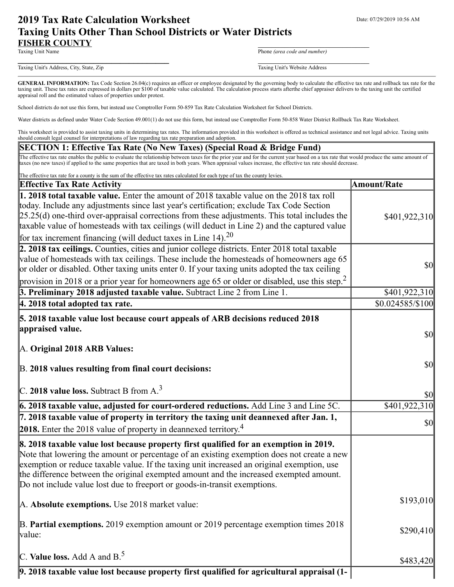# **2019 Tax Rate Calculation Worksheet** Department Date: 07/29/2019 10:56 AM **Taxing Units Other Than School Districts or Water Districts FISHER COUNTY**<br>Taxing Unit Name

Phone (area code and number)

Taxing Unit's Address, City, State, Zip Taxing Unit's Website Address

**\_\_\_\_\_\_\_\_\_\_\_\_\_\_\_\_\_\_\_\_\_\_\_\_\_\_\_\_\_\_\_\_\_\_** \_\_\_\_\_\_\_\_\_\_\_\_\_\_\_\_\_\_\_\_\_\_\_\_\_

GENERAL INFORMATION: Tax Code Section 26.04(c) requires an officer or employee designated by the governing body to calculate the effective tax rate and rollback tax rate for the taxing unit. These tax rates are expressed in dollars per \$100 of taxable value calculated. The calculation process starts afterthe chief appraiser delivers to the taxing unit the certified appraisal roll and the estimated values of properties under protest.

School districts do not use this form, but instead use Comptroller Form 50-859 Tax Rate Calculation Worksheet for School Districts.

Water districts as defined under Water Code Section 49.001(1) do not use this form, but instead use Comptroller Form 50-858 Water District Rollback Tax Rate Worksheet.

This worksheet is provided to assist taxing units in determining tax rates. The information provided in this worksheet is offered as technical assistance and not legal advice. Taxing units should consult legal counsel for interpretations of law regarding tax rate preparation and adoption.

#### **SECTION 1: Effective Tax Rate (No New Taxes) (Special Road & Bridge Fund)**

The effective tax rate enables the public to evaluate the relationship between taxes for the prior year and for the current year based on a tax rate that would produce the same amount of taxes (no new taxes) if applied to the same properties that are taxed in both years. When appraisal values increase, the effective tax rate should decrease.

| The effective tax rate for a county is the sum of the effective tax rates calculated for each type of tax the county levies.                                                                                                                                                                                                                                                                                                                                    |                                                                            |
|-----------------------------------------------------------------------------------------------------------------------------------------------------------------------------------------------------------------------------------------------------------------------------------------------------------------------------------------------------------------------------------------------------------------------------------------------------------------|----------------------------------------------------------------------------|
| <b>Effective Tax Rate Activity</b>                                                                                                                                                                                                                                                                                                                                                                                                                              | <b>Amount/Rate</b>                                                         |
| 1. 2018 total taxable value. Enter the amount of 2018 taxable value on the 2018 tax roll<br>today. Include any adjustments since last year's certification; exclude Tax Code Section<br>$[25.25(d)$ one-third over-appraisal corrections from these adjustments. This total includes the<br>taxable value of homesteads with tax ceilings (will deduct in Line 2) and the captured value<br>for tax increment financing (will deduct taxes in Line 14). $^{20}$ | \$401,922,310                                                              |
| 2. 2018 tax ceilings. Counties, cities and junior college districts. Enter 2018 total taxable<br>value of homesteads with tax ceilings. These include the homesteads of homeowners age 65<br>or older or disabled. Other taxing units enter 0. If your taxing units adopted the tax ceiling<br>provision in 2018 or a prior year for homeowners age 65 or older or disabled, use this step. <sup>2</sup>                                                        | $\sqrt{50}$                                                                |
| 3. Preliminary 2018 adjusted taxable value. Subtract Line 2 from Line 1.                                                                                                                                                                                                                                                                                                                                                                                        | \$401,922,310                                                              |
| 4. 2018 total adopted tax rate.                                                                                                                                                                                                                                                                                                                                                                                                                                 | \$0.024585/\$100                                                           |
| 5. 2018 taxable value lost because court appeals of ARB decisions reduced 2018<br>appraised value.<br>A. Original 2018 ARB Values:<br>B. 2018 values resulting from final court decisions:                                                                                                                                                                                                                                                                      | $\vert \mathbf{S} \mathbf{0} \vert$<br>$\vert \mathbf{S} \mathbf{0} \vert$ |
| $C.$ 2018 value loss. Subtract B from A. <sup>3</sup>                                                                                                                                                                                                                                                                                                                                                                                                           | $ 10\rangle$                                                               |
| $6.2018$ taxable value, adjusted for court-ordered reductions. Add Line $3$ and Line 5C.                                                                                                                                                                                                                                                                                                                                                                        | \$401,922,310                                                              |
| 7. 2018 taxable value of property in territory the taxing unit deannexed after Jan. 1,<br>2018. Enter the 2018 value of property in deannexed territory. <sup>4</sup>                                                                                                                                                                                                                                                                                           | $\vert \mathbf{S} \mathbf{0} \vert$                                        |
| 8. 2018 taxable value lost because property first qualified for an exemption in 2019.<br>Note that lowering the amount or percentage of an existing exemption does not create a new<br>exemption or reduce taxable value. If the taxing unit increased an original exemption, use<br>the difference between the original exempted amount and the increased exempted amount.<br>Do not include value lost due to freeport or goods-in-transit exemptions.        |                                                                            |
| A. Absolute exemptions. Use 2018 market value:                                                                                                                                                                                                                                                                                                                                                                                                                  | \$193,010                                                                  |
| B. Partial exemptions. 2019 exemption amount or 2019 percentage exemption times 2018<br>value:                                                                                                                                                                                                                                                                                                                                                                  | \$290,410                                                                  |
| C. Value loss. Add A and $B^5$                                                                                                                                                                                                                                                                                                                                                                                                                                  | \$483,420                                                                  |
| 9. 2018 taxable value lost because property first qualified for agricultural appraisal (1-                                                                                                                                                                                                                                                                                                                                                                      |                                                                            |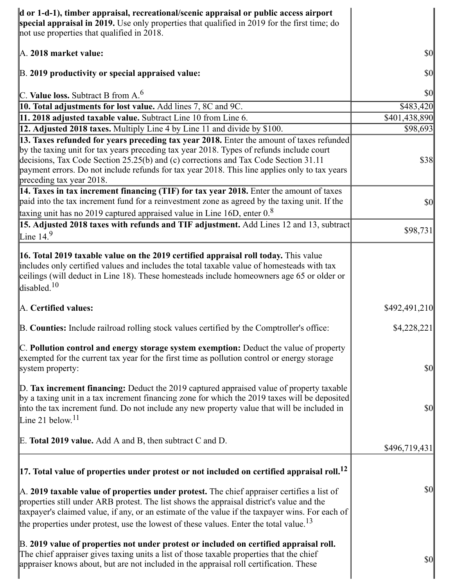| $\bf{d}$ or 1-d-1), timber appraisal, recreational/scenic appraisal or public access airport<br>special appraisal in 2019. Use only properties that qualified in 2019 for the first time; do<br>not use properties that qualified in 2018.                                                                                                                                                                  |                                     |
|-------------------------------------------------------------------------------------------------------------------------------------------------------------------------------------------------------------------------------------------------------------------------------------------------------------------------------------------------------------------------------------------------------------|-------------------------------------|
| A. 2018 market value:                                                                                                                                                                                                                                                                                                                                                                                       | \$0                                 |
| B. 2019 productivity or special appraised value:                                                                                                                                                                                                                                                                                                                                                            | $\vert \mathbf{S} \mathbf{O} \vert$ |
| C. Value loss. Subtract B from $A6$                                                                                                                                                                                                                                                                                                                                                                         | $ 10\rangle$                        |
| 10. Total adjustments for lost value. Add lines 7, 8C and 9C.                                                                                                                                                                                                                                                                                                                                               | \$483,420                           |
| 11. 2018 adjusted taxable value. Subtract Line 10 from Line 6.                                                                                                                                                                                                                                                                                                                                              | \$401,438,890                       |
| 12. Adjusted 2018 taxes. Multiply Line 4 by Line 11 and divide by \$100.                                                                                                                                                                                                                                                                                                                                    | \$98,693                            |
| 13. Taxes refunded for years preceding tax year 2018. Enter the amount of taxes refunded<br>by the taxing unit for tax years preceding tax year 2018. Types of refunds include court<br>decisions, Tax Code Section 25.25(b) and (c) corrections and Tax Code Section 31.11<br>payment errors. Do not include refunds for tax year 2018. This line applies only to tax years<br>preceding tax year 2018.    | \$38                                |
| $\vert$ 14. Taxes in tax increment financing (TIF) for tax year 2018. Enter the amount of taxes<br>paid into the tax increment fund for a reinvestment zone as agreed by the taxing unit. If the<br>taxing unit has no 2019 captured appraised value in Line 16D, enter 0.8                                                                                                                                 | \$0                                 |
| 15. Adjusted 2018 taxes with refunds and TIF adjustment. Add Lines 12 and 13, subtract<br>Line $14.9$                                                                                                                                                                                                                                                                                                       | \$98,731                            |
| 16. Total 2019 taxable value on the 2019 certified appraisal roll today. This value<br>includes only certified values and includes the total taxable value of homesteads with tax<br>ceilings (will deduct in Line 18). These homesteads include homeowners age 65 or older or<br>disabled. <sup>10</sup>                                                                                                   |                                     |
| A. Certified values:                                                                                                                                                                                                                                                                                                                                                                                        | \$492,491,210                       |
| B. Counties: Include railroad rolling stock values certified by the Comptroller's office:                                                                                                                                                                                                                                                                                                                   | \$4,228,221                         |
| C. Pollution control and energy storage system exemption: Deduct the value of property<br>exempted for the current tax year for the first time as pollution control or energy storage<br>system property:                                                                                                                                                                                                   | $\vert \mathbf{S} \mathbf{O} \vert$ |
| D. Tax increment financing: Deduct the 2019 captured appraised value of property taxable<br>by a taxing unit in a tax increment financing zone for which the 2019 taxes will be deposited<br>into the tax increment fund. Do not include any new property value that will be included in<br>Line 21 below. <sup>11</sup>                                                                                    | \$0                                 |
| E. Total 2019 value. Add A and B, then subtract C and D.                                                                                                                                                                                                                                                                                                                                                    | \$496,719,431                       |
| $\vert$ 17. Total value of properties under protest or not included on certified appraisal roll. <sup>12</sup>                                                                                                                                                                                                                                                                                              |                                     |
| $\mathbb A$ . 2019 taxable value of properties under protest. The chief appraiser certifies a list of<br>properties still under ARB protest. The list shows the appraisal district's value and the<br>taxpayer's claimed value, if any, or an estimate of the value if the taxpayer wins. For each of<br>the properties under protest, use the lowest of these values. Enter the total value. <sup>13</sup> | $\vert \mathbf{S} \mathbf{O} \vert$ |
| B. 2019 value of properties not under protest or included on certified appraisal roll.<br>The chief appraiser gives taxing units a list of those taxable properties that the chief<br>appraiser knows about, but are not included in the appraisal roll certification. These                                                                                                                                | \$0                                 |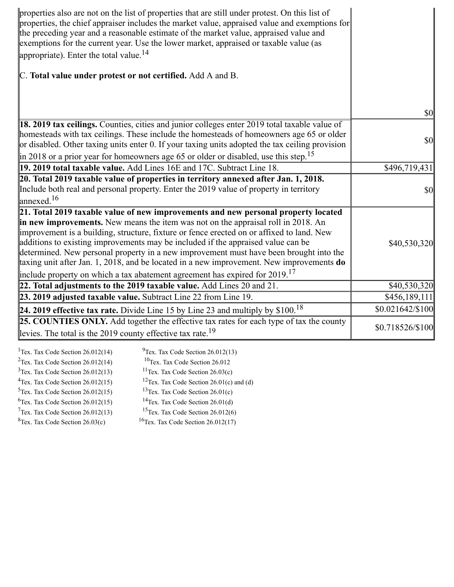| properties also are not on the list of properties that are still under protest. On this list of<br>properties, the chief appraiser includes the market value, appraised value and exemptions for<br>the preceding year and a reasonable estimate of the market value, appraised value and<br>exemptions for the current year. Use the lower market, appraised or taxable value (as<br>appropriate). Enter the total value. $^{14}$                                                                                                                                                                                                           |                              |
|----------------------------------------------------------------------------------------------------------------------------------------------------------------------------------------------------------------------------------------------------------------------------------------------------------------------------------------------------------------------------------------------------------------------------------------------------------------------------------------------------------------------------------------------------------------------------------------------------------------------------------------------|------------------------------|
| C. Total value under protest or not certified. Add A and B.                                                                                                                                                                                                                                                                                                                                                                                                                                                                                                                                                                                  |                              |
|                                                                                                                                                                                                                                                                                                                                                                                                                                                                                                                                                                                                                                              | <b>\$0</b>                   |
| 18. 2019 tax ceilings. Counties, cities and junior colleges enter 2019 total taxable value of<br>homesteads with tax ceilings. These include the homesteads of homeowners age 65 or older<br>or disabled. Other taxing units enter 0. If your taxing units adopted the tax ceiling provision                                                                                                                                                                                                                                                                                                                                                 | $\sqrt{50}$                  |
| $\left  \text{in } 2018 \text{ or a prior year for home owners age 65 or older or disabled, use this step.} \right $<br>19. 2019 total taxable value. Add Lines 16E and 17C. Subtract Line 18.                                                                                                                                                                                                                                                                                                                                                                                                                                               | \$496,719,431                |
| 20. Total 2019 taxable value of properties in territory annexed after Jan. 1, 2018.<br>Include both real and personal property. Enter the 2019 value of property in territory<br>annexed. <sup>16</sup>                                                                                                                                                                                                                                                                                                                                                                                                                                      | <b>\$0</b>                   |
| 21. Total 2019 taxable value of new improvements and new personal property located<br>in new improvements. New means the item was not on the appraisal roll in 2018. An<br>improvement is a building, structure, fixture or fence erected on or affixed to land. New<br>additions to existing improvements may be included if the appraised value can be<br>determined. New personal property in a new improvement must have been brought into the<br>taxing unit after Jan. 1, 2018, and be located in a new improvement. New improvements do<br>include property on which a tax abatement agreement has expired for $2019$ . <sup>17</sup> | \$40,530,320                 |
| 22. Total adjustments to the 2019 taxable value. Add Lines 20 and 21.                                                                                                                                                                                                                                                                                                                                                                                                                                                                                                                                                                        | \$40,530,320                 |
| 23. 2019 adjusted taxable value. Subtract Line 22 from Line 19.                                                                                                                                                                                                                                                                                                                                                                                                                                                                                                                                                                              | \$456,189,111                |
| 24. 2019 effective tax rate. Divide Line 15 by Line 23 and multiply by $$100.18$                                                                                                                                                                                                                                                                                                                                                                                                                                                                                                                                                             | $$0.021642\allowbreak/\$100$ |
| 25. COUNTIES ONLY. Add together the effective tax rates for each type of tax the county<br>levies. The total is the 2019 county effective tax rate. <sup>19</sup>                                                                                                                                                                                                                                                                                                                                                                                                                                                                            | \$0.718526/\$100             |

| <sup>1</sup> Tex. Tax Code Section $26.012(14)$ | $^{9}$ Tex. Tax Code Section 26.012(13)              |
|-------------------------------------------------|------------------------------------------------------|
| $2$ Tex. Tax Code Section 26.012(14)            | $10$ Tex. Tax Code Section 26.012                    |
| $3$ Tex. Tax Code Section 26.012(13)            | <sup>11</sup> Tex. Tax Code Section $26.03(c)$       |
| $4$ Tex. Tax Code Section 26.012(15)            | <sup>12</sup> Tex. Tax Code Section 26.01(c) and (d) |
| $5$ Tex. Tax Code Section 26.012(15)            | <sup>13</sup> Tex. Tax Code Section $26.01(c)$       |
| ${}^{6}$ Tex. Tax Code Section 26.012(15)       | <sup>14</sup> Tex. Tax Code Section $26.01(d)$       |
| $7$ Tex. Tax Code Section 26.012(13)            | <sup>15</sup> Tex. Tax Code Section $26.012(6)$      |
| ${}^{8}$ Tex. Tax Code Section 26.03(c)         | <sup>16</sup> Tex. Tax Code Section $26.012(17)$     |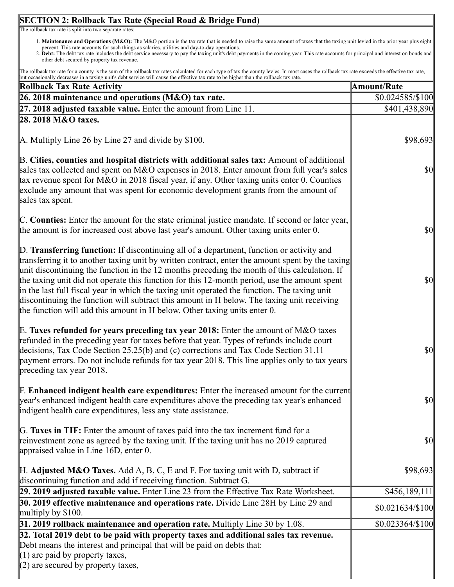## 1. **Maintenance and Operations (M&O):** The M&O portion is the tax rate that is needed to raise the same amount of taxes that the taxing unit levied in the prior year plus eight percent. This rate accounts for such things as salaries, utilities and day-to-day operations. 2. **Debt:** The debt tax rate includes the debt service necessary to pay the taxing unit's debt payments in the coming year. This rate accounts for principal and interest on bonds and other debt secured by property tax revenue. The rollback tax rate for a county is the sum of the rollback tax rates calculated for each type of tax the county levies. In most cases the rollback tax rate exceeds the effective tax rate, but occasionally decreases in a taxing unit's debt service will cause the effective tax rate to be higher than the rollback tax rate. **Rollback Tax Rate Activity Amount/Rate 26. 2018 maintenance and operations (M&O) tax rate.** \$0.024585/\$100 **27. 2018 adjusted taxable value.** Enter the amount from Line 11. S401,438,890 **28. 2018 M&O taxes.** A. Multiply Line 26 by Line 27 and divide by \$100. B. **Cities, counties and hospital districts with additional sales tax:** Amount of additional sales tax collected and spent on M&O expenses in 2018. Enter amount from full year's sales tax revenue spent for M&O in 2018 fiscal year, if any. Other taxing units enter 0. Counties exclude any amount that was spent for economic development grants from the amount of sales tax spent. C. **Counties:** Enter the amount for the state criminal justice mandate. If second or later year, the amount is for increased cost above last year's amount. Other taxing units enter 0. D. **Transferring function:** If discontinuing all of a department, function or activity and transferring it to another taxing unit by written contract, enter the amount spent by the taxing unit discontinuing the function in the 12 months preceding the month of this calculation. If the taxing unit did not operate this function for this 12-month period, use the amount spent in the last full fiscal year in which the taxing unit operated the function. The taxing unit discontinuing the function will subtract this amount in H below. The taxing unit receiving the function will add this amount in H below. Other taxing units enter 0. E. **Taxes refunded for years preceding tax year 2018:** Enter the amount of M&O taxes refunded in the preceding year for taxes before that year. Types of refunds include court decisions, Tax Code Section 25.25(b) and (c) corrections and Tax Code Section 31.11 payment errors. Do not include refunds for tax year 2018. This line applies only to tax years preceding tax year 2018. F. **Enhanced indigent health care expenditures:** Enter the increased amount for the current year's enhanced indigent health care expenditures above the preceding tax year's enhanced indigent health care expenditures, less any state assistance. G. **Taxes in TIF:** Enter the amount of taxes paid into the tax increment fund for a reinvestment zone as agreed by the taxing unit. If the taxing unit has no 2019 captured appraised value in Line 16D, enter 0. H. **Adjusted M&O Taxes.** Add A, B, C, E and F. For taxing unit with D, subtract if discontinuing function and add if receiving function. Subtract G. \$98,693 \$98,693 **29. 2019 adjusted taxable value.** Enter Line 23 from the Effective Tax Rate Worksheet. \$456,189,111 **30. 2019 effective maintenance and operations rate.** Divide Line 28H by Line 29 and \$0.021634/\$100 multiply by \$100. **31. 2019 rollback maintenance and operation rate.** Multiply Line 30 by 1.08.  $\qquad \qquad$  \$0.023364/\$100 **32. Total 2019 debt to be paid with property taxes and additional sales tax revenue.** Debt means the interest and principal that will be paid on debts that: (1) are paid by property taxes,

\$0

\$0

\$0

\$0

\$0

\$0

**SECTION 2: Rollback Tax Rate (Special Road & Bridge Fund)** 

The rollback tax rate is split into two separate rates:

https://activities.com/tnt/application/reports/1564415798056.html 9/12/1564415798056.html 9/12/13/156441579805  $(2)$  are secured by property taxes,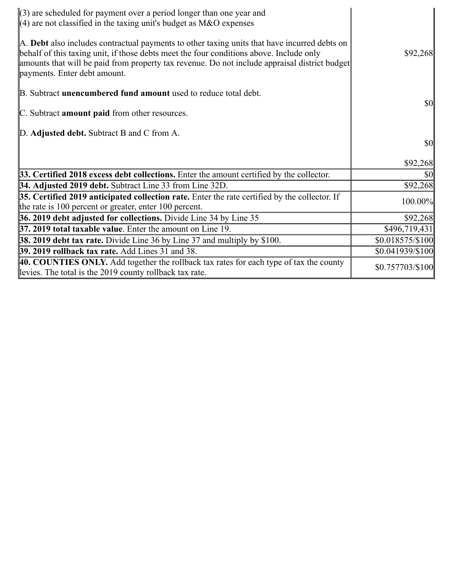| $(3)$ are scheduled for payment over a period longer than one year and<br>$(4)$ are not classified in the taxing unit's budget as M&O expenses                                                                                                                                                                           |                  |
|--------------------------------------------------------------------------------------------------------------------------------------------------------------------------------------------------------------------------------------------------------------------------------------------------------------------------|------------------|
| A. Debt also includes contractual payments to other taxing units that have incurred debts on<br>behalf of this taxing unit, if those debts meet the four conditions above. Include only<br>amounts that will be paid from property tax revenue. Do not include appraisal district budget<br>payments. Enter debt amount. | \$92,268         |
| B. Subtract <b>unencumbered fund amount</b> used to reduce total debt.                                                                                                                                                                                                                                                   |                  |
| C. Subtract amount paid from other resources.                                                                                                                                                                                                                                                                            | <b>\$0</b>       |
| D. Adjusted debt. Subtract B and C from A.                                                                                                                                                                                                                                                                               |                  |
|                                                                                                                                                                                                                                                                                                                          | $\frac{1}{2}$    |
|                                                                                                                                                                                                                                                                                                                          | \$92,268         |
| 33. Certified 2018 excess debt collections. Enter the amount certified by the collector.                                                                                                                                                                                                                                 | <b>\$0</b>       |
| 34. Adjusted 2019 debt. Subtract Line 33 from Line 32D.                                                                                                                                                                                                                                                                  | \$92,268         |
| 35. Certified 2019 anticipated collection rate. Enter the rate certified by the collector. If<br>the rate is $100$ percent or greater, enter $100$ percent.                                                                                                                                                              | 100.00%          |
| 36. 2019 debt adjusted for collections. Divide Line 34 by Line 35                                                                                                                                                                                                                                                        | \$92,268         |
| <b>37. 2019 total taxable value.</b> Enter the amount on Line 19.                                                                                                                                                                                                                                                        | \$496,719,431    |
| <b>38. 2019 debt tax rate.</b> Divide Line 36 by Line 37 and multiply by \$100.                                                                                                                                                                                                                                          | \$0.018575/\$100 |
| <b>39. 2019 rollback tax rate.</b> Add Lines 31 and 38.                                                                                                                                                                                                                                                                  | \$0.041939/\$100 |
| 40. COUNTIES ONLY. Add together the rollback tax rates for each type of tax the county<br>levies. The total is the 2019 county rollback tax rate.                                                                                                                                                                        | \$0.757703/\$100 |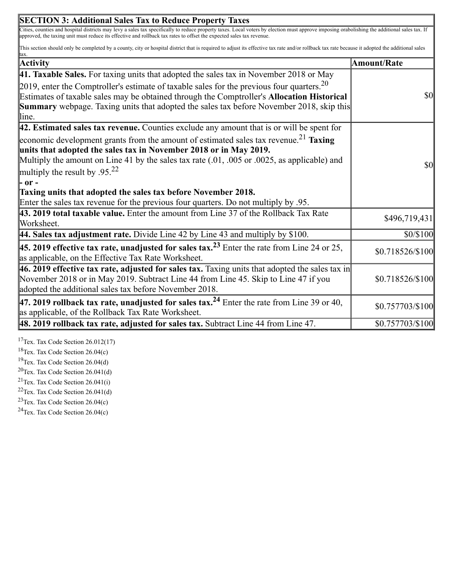| Cities, counties and hospital districts may levy a sales tax specifically to reduce property taxes. Local voters by election must approve imposing orabolishing the additional sales tax. If<br>This section should only be completed by a county, city or hospital district that is required to adjust its effective tax rate and/or rollback tax rate because it adopted the additional sales<br><b>Amount/Rate</b><br><b>Summary</b> webpage. Taxing units that adopted the sales tax before November 2018, skip this<br>46. 2019 effective tax rate, adjusted for sales tax. Taxing units that adopted the sales tax in | <b>SECTION 3: Additional Sales Tax to Reduce Property Taxes</b>                                                                                                                                                                                                                                                                     |                  |
|-----------------------------------------------------------------------------------------------------------------------------------------------------------------------------------------------------------------------------------------------------------------------------------------------------------------------------------------------------------------------------------------------------------------------------------------------------------------------------------------------------------------------------------------------------------------------------------------------------------------------------|-------------------------------------------------------------------------------------------------------------------------------------------------------------------------------------------------------------------------------------------------------------------------------------------------------------------------------------|------------------|
|                                                                                                                                                                                                                                                                                                                                                                                                                                                                                                                                                                                                                             | approved, the taxing unit must reduce its effective and rollback tax rates to offset the expected sales tax revenue.                                                                                                                                                                                                                |                  |
|                                                                                                                                                                                                                                                                                                                                                                                                                                                                                                                                                                                                                             |                                                                                                                                                                                                                                                                                                                                     |                  |
|                                                                                                                                                                                                                                                                                                                                                                                                                                                                                                                                                                                                                             | <b>Activity</b>                                                                                                                                                                                                                                                                                                                     |                  |
|                                                                                                                                                                                                                                                                                                                                                                                                                                                                                                                                                                                                                             | 41. Taxable Sales. For taxing units that adopted the sales tax in November 2018 or May                                                                                                                                                                                                                                              |                  |
|                                                                                                                                                                                                                                                                                                                                                                                                                                                                                                                                                                                                                             | 2019, enter the Comptroller's estimate of taxable sales for the previous four quarters. $20$<br>Estimates of taxable sales may be obtained through the Comptroller's Allocation Historical<br>lline.                                                                                                                                | $\sqrt{50}$      |
|                                                                                                                                                                                                                                                                                                                                                                                                                                                                                                                                                                                                                             | $\vert$ 42. Estimated sales tax revenue. Counties exclude any amount that is or will be spent for                                                                                                                                                                                                                                   |                  |
|                                                                                                                                                                                                                                                                                                                                                                                                                                                                                                                                                                                                                             | economic development grants from the amount of estimated sales tax revenue. <sup>21</sup> Taxing<br>units that adopted the sales tax in November 2018 or in May 2019.<br>Multiply the amount on Line 41 by the sales tax rate $(.01, .005)$ or $.0025$ , as applicable) and<br>multiply the result by .95. <sup>22</sup><br> - or - | $\sqrt{50}$      |
|                                                                                                                                                                                                                                                                                                                                                                                                                                                                                                                                                                                                                             | Taxing units that adopted the sales tax before November 2018.<br>Enter the sales tax revenue for the previous four quarters. Do not multiply by .95.                                                                                                                                                                                |                  |
|                                                                                                                                                                                                                                                                                                                                                                                                                                                                                                                                                                                                                             | 43. 2019 total taxable value. Enter the amount from Line 37 of the Rollback Tax Rate<br>Worksheet.                                                                                                                                                                                                                                  | \$496,719,431    |
|                                                                                                                                                                                                                                                                                                                                                                                                                                                                                                                                                                                                                             | 44. Sales tax adjustment rate. Divide Line 42 by Line 43 and multiply by $$100$ .                                                                                                                                                                                                                                                   | \$0/\$100        |
|                                                                                                                                                                                                                                                                                                                                                                                                                                                                                                                                                                                                                             | <b>45. 2019 effective tax rate, unadjusted for sales tax.</b> <sup>23</sup> Enter the rate from Line 24 or 25,<br>as applicable, on the Effective Tax Rate Worksheet.                                                                                                                                                               | \$0.718526/\$100 |
|                                                                                                                                                                                                                                                                                                                                                                                                                                                                                                                                                                                                                             | November 2018 or in May 2019. Subtract Line 44 from Line 45. Skip to Line 47 if you<br>adopted the additional sales tax before November 2018.                                                                                                                                                                                       | \$0.718526/\$100 |
|                                                                                                                                                                                                                                                                                                                                                                                                                                                                                                                                                                                                                             | 47. 2019 rollback tax rate, unadjusted for sales tax. <sup>24</sup> Enter the rate from Line 39 or 40,<br>as applicable, of the Rollback Tax Rate Worksheet.                                                                                                                                                                        | \$0.757703/\$100 |
|                                                                                                                                                                                                                                                                                                                                                                                                                                                                                                                                                                                                                             | $\vert$ 48. 2019 rollback tax rate, adjusted for sales tax. Subtract Line 44 from Line 47.                                                                                                                                                                                                                                          | \$0.757703/\$100 |

 $\overline{\mathbf{1}}$ 

<sup>17</sup>Tex. Tax Code Section  $26.012(17)$ 

<sup>18</sup>Tex. Tax Code Section  $26.04(c)$ 

<sup>19</sup>Tex. Tax Code Section  $26.04(d)$ 

 $20$ Tex. Tax Code Section 26.041(d)

<sup>21</sup>Tex. Tax Code Section  $26.041(i)$ 

 $22$ Tex. Tax Code Section 26.041(d)

<sup>23</sup>Tex. Tax Code Section  $26.04(c)$ 

<sup>24</sup>Tex. Tax Code Section  $26.04(c)$